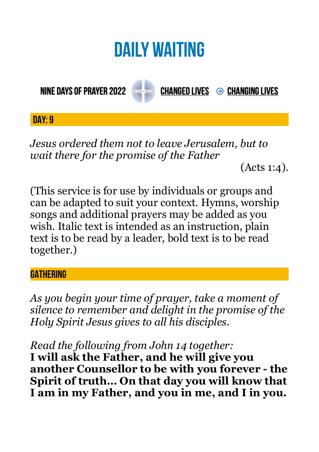# **DAILY WAITING**

**NINE DAYS OF PRAYER 2022** 



**CHANGED LIVES → CHANGING LIVES** 

**DAY: 9**

*Jesus ordered them not to leave Jerusalem, but to wait there for the promise of the Father* 

(Acts 1:4).

(This service is for use by individuals or groups and can be adapted to suit your context. Hymns, worship songs and additional prayers may be added as you wish. Italic text is intended as an instruction, plain text is to be read by a leader, bold text is to be read together.)

#### **GATHERING**

*As you begin your time of prayer, take a moment of silence to remember and delight in the promise of the Holy Spirit Jesus gives to all his disciples.*

*Read the following from John 14 together:* 

**I will ask the Father, and he will give you another Counsellor to be with you forever - the Spirit of truth… On that day you will know that I am in my Father, and you in me, and I in you.**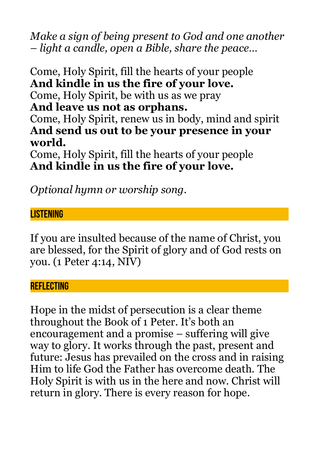*Make a sign of being present to God and one another – light a candle, open a Bible, share the peace…* 

Come, Holy Spirit, fill the hearts of your people **And kindle in us the fire of your love.**  Come, Holy Spirit, be with us as we pray **And leave us not as orphans.**  Come, Holy Spirit, renew us in body, mind and spirit **And send us out to be your presence in your world.** 

Come, Holy Spirit, fill the hearts of your people **And kindle in us the fire of your love.** 

*Optional hymn or worship song.* 

### **LISTENING**

If you are insulted because of the name of Christ, you are blessed, for the Spirit of glory and of God rests on you. (1 Peter 4:14, NIV)

#### **REFLECTING**

Hope in the midst of persecution is a clear theme throughout the Book of 1 Peter. It's both an encouragement and a promise – suffering will give way to glory. It works through the past, present and future: Jesus has prevailed on the cross and in raising Him to life God the Father has overcome death. The Holy Spirit is with us in the here and now. Christ will return in glory. There is every reason for hope.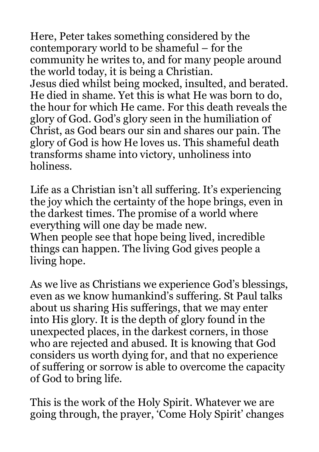Here, Peter takes something considered by the contemporary world to be shameful – for the community he writes to, and for many people around the world today, it is being a Christian. Jesus died whilst being mocked, insulted, and berated. He died in shame. Yet this is what He was born to do, the hour for which He came. For this death reveals the glory of God. God's glory seen in the humiliation of Christ, as God bears our sin and shares our pain. The glory of God is how He loves us. This shameful death transforms shame into victory, unholiness into holiness.

Life as a Christian isn't all suffering. It's experiencing the joy which the certainty of the hope brings, even in the darkest times. The promise of a world where everything will one day be made new. When people see that hope being lived, incredible things can happen. The living God gives people a living hope.

As we live as Christians we experience God's blessings, even as we know humankind's suffering. St Paul talks about us sharing His sufferings, that we may enter into His glory. It is the depth of glory found in the unexpected places, in the darkest corners, in those who are rejected and abused. It is knowing that God considers us worth dying for, and that no experience of suffering or sorrow is able to overcome the capacity of God to bring life.

This is the work of the Holy Spirit. Whatever we are going through, the prayer, 'Come Holy Spirit' changes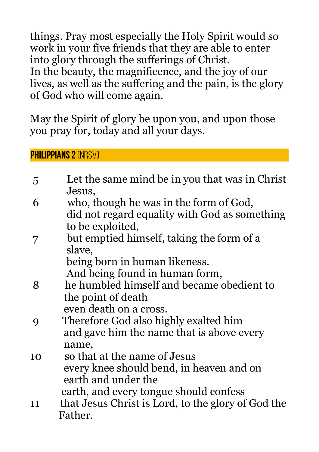things. Pray most especially the Holy Spirit would so work in your five friends that they are able to enter into glory through the sufferings of Christ. In the beauty, the magnificence, and the joy of our lives, as well as the suffering and the pain, is the glory of God who will come again.

May the Spirit of glory be upon you, and upon those you pray for, today and all your days.

**Philippians 2** (NRSV)

| $\overline{5}$ | Let the same mind be in you that was in Christ     |
|----------------|----------------------------------------------------|
|                | Jesus,                                             |
| 6              | who, though he was in the form of God,             |
|                | did not regard equality with God as something      |
|                | to be exploited,                                   |
|                | but emptied himself, taking the form of a          |
|                | slave,                                             |
|                | being born in human likeness.                      |
|                | And being found in human form,                     |
| 8              | he humbled himself and became obedient to          |
|                | the point of death                                 |
|                | even death on a cross.                             |
| 9              | Therefore God also highly exalted him              |
|                | and gave him the name that is above every          |
|                | name,                                              |
| 10             | so that at the name of Jesus                       |
|                | every knee should bend, in heaven and on           |
|                | earth and under the                                |
|                | earth, and every tongue should confess             |
| 11             | that Jesus Christ is Lord, to the glory of God the |
|                | Father.                                            |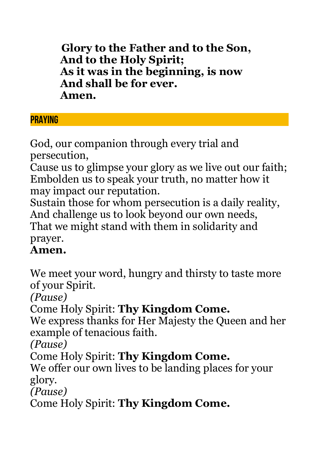**Glory to the Father and to the Son, And to the Holy Spirit; As it was in the beginning, is now And shall be for ever. Amen.**

## **PRAYING**

God, our companion through every trial and persecution,

Cause us to glimpse your glory as we live out our faith; Embolden us to speak your truth, no matter how it may impact our reputation.

Sustain those for whom persecution is a daily reality, And challenge us to look beyond our own needs, That we might stand with them in solidarity and prayer.

## **Amen.**

We meet your word, hungry and thirsty to taste more of your Spirit.

*(Pause)*

Come Holy Spirit: **Thy Kingdom Come.**

We express thanks for Her Majesty the Queen and her example of tenacious faith.

*(Pause)*

Come Holy Spirit: **Thy Kingdom Come.**

We offer our own lives to be landing places for your glory.

*(Pause)*

Come Holy Spirit: **Thy Kingdom Come.**